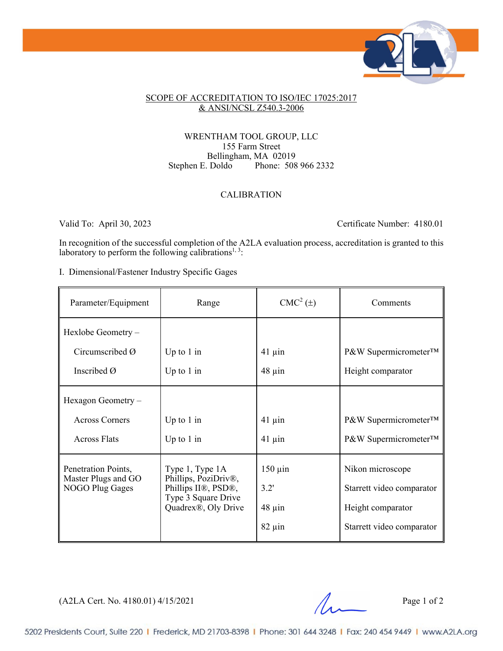

#### SCOPE OF ACCREDITATION TO ISO/IEC 17025:2017 & ANSI/NCSL Z540.3-2006

### WRENTHAM TOOL GROUP, LLC 155 Farm Street Bellingham, MA 02019 Stephen E. Doldo Phone: 508 966 2332

### CALIBRATION

Valid To: April 30, 2023 Certificate Number: 4180.01

In recognition of the successful completion of the A2LA evaluation process, accreditation is granted to this laboratory to perform the following calibrations<sup>1, 3</sup>:

I. Dimensional/Fastener Industry Specific Gages

| Parameter/Equipment                                           | Range                                                                                                        | $CMC2(\pm)$                                        | Comments                                                                                        |
|---------------------------------------------------------------|--------------------------------------------------------------------------------------------------------------|----------------------------------------------------|-------------------------------------------------------------------------------------------------|
| $Hexlobe$ Geometry $-$                                        |                                                                                                              |                                                    |                                                                                                 |
| Circumscribed $\varnothing$                                   | Up to $1$ in                                                                                                 | $41 \mu$ in                                        | P&W Supermicrometer™                                                                            |
| Inscribed $\varnothing$                                       | Up to $1$ in                                                                                                 | $48 \mu$ in                                        | Height comparator                                                                               |
| Hexagon Geometry -                                            |                                                                                                              |                                                    |                                                                                                 |
| <b>Across Corners</b>                                         | Up to $1$ in                                                                                                 | $41 \mu$ in                                        | P&W Supermicrometer™                                                                            |
| <b>Across Flats</b>                                           | Up to $1$ in                                                                                                 | $41 \mu$ in                                        | P&W Supermicrometer™                                                                            |
| Penetration Points,<br>Master Plugs and GO<br>NOGO Plug Gages | Type 1, Type 1A<br>Phillips, PoziDriv®,<br>Phillips II®, PSD®,<br>Type 3 Square Drive<br>Quadrex®, Oly Drive | $150 \mu$ in<br>3.2'<br>$48 \mu$ in<br>$82 \mu$ in | Nikon microscope<br>Starrett video comparator<br>Height comparator<br>Starrett video comparator |

 $(A2LA$  Cert. No. 4180.01) 4/15/2021 Page 1 of 2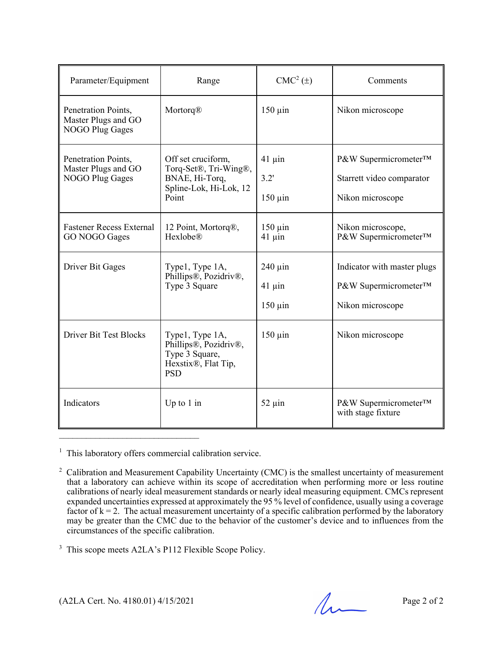| Parameter/Equipment                                           | Range                                                                                            | $CMC2(\pm)$                                 | Comments                                                                |
|---------------------------------------------------------------|--------------------------------------------------------------------------------------------------|---------------------------------------------|-------------------------------------------------------------------------|
| Penetration Points,<br>Master Plugs and GO<br>NOGO Plug Gages | Mortorq®                                                                                         | $150 \mu$ in                                | Nikon microscope                                                        |
| Penetration Points,<br>Master Plugs and GO<br>NOGO Plug Gages | Off set cruciform,<br>Torq-Set®, Tri-Wing®,<br>BNAE, Hi-Torq,<br>Spline-Lok, Hi-Lok, 12<br>Point | $41 \mu$ in<br>3.2'<br>$150 \mu$ in         | P&W Supermicrometer™<br>Starrett video comparator<br>Nikon microscope   |
| <b>Fastener Recess External</b><br>GO NOGO Gages              | 12 Point, Mortorq®,<br><b>Hexlobe®</b>                                                           | $150 \mu$ in<br>$41 \mu$ in                 | Nikon microscope,<br>P&W Supermicrometer™                               |
| Driver Bit Gages                                              | Type1, Type 1A,<br>Phillips®, Pozidriv®,<br>Type 3 Square                                        | $240 \mu$ in<br>$41 \mu$ in<br>$150 \mu$ in | Indicator with master plugs<br>P&W Supermicrometer™<br>Nikon microscope |
| <b>Driver Bit Test Blocks</b>                                 | Type1, Type 1A,<br>Phillips®, Pozidriv®,<br>Type 3 Square,<br>Hexstix®, Flat Tip,<br><b>PSD</b>  | $150 \mu$ in                                | Nikon microscope                                                        |
| Indicators                                                    | Up to $1$ in                                                                                     | $52 \mu$ in                                 | P&W Supermicrometer™<br>with stage fixture                              |

<sup>1</sup> This laboratory offers commercial calibration service.

<sup>3</sup> This scope meets A2LA's P112 Flexible Scope Policy.

<sup>&</sup>lt;sup>2</sup> Calibration and Measurement Capability Uncertainty (CMC) is the smallest uncertainty of measurement that a laboratory can achieve within its scope of accreditation when performing more or less routine calibrations of nearly ideal measurement standards or nearly ideal measuring equipment. CMCs represent expanded uncertainties expressed at approximately the 95 % level of confidence, usually using a coverage factor of  $k = 2$ . The actual measurement uncertainty of a specific calibration performed by the laboratory may be greater than the CMC due to the behavior of the customer's device and to influences from the circumstances of the specific calibration.